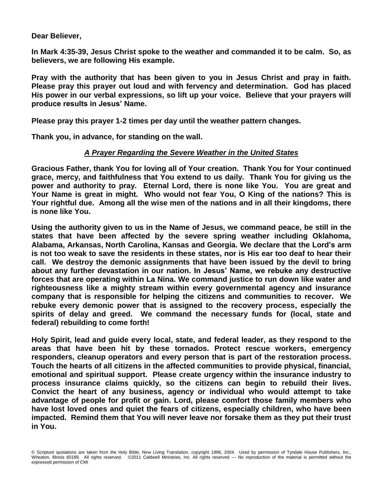**Dear Believer,** 

**In Mark 4:35-39, Jesus Christ spoke to the weather and commanded it to be calm. So, as believers, we are following His example.** 

**Pray with the authority that has been given to you in Jesus Christ and pray in faith. Please pray this prayer out loud and with fervency and determination. God has placed His power in our verbal expressions, so lift up your voice. Believe that your prayers will produce results in Jesus' Name.** 

**Please pray this prayer 1-2 times per day until the weather pattern changes.**

**Thank you, in advance, for standing on the wall.**

## *A Prayer Regarding the Severe Weather in the United States*

**Gracious Father, thank You for loving all of Your creation. Thank You for Your continued grace, mercy, and faithfulness that You extend to us daily. Thank You for giving us the power and authority to pray. Eternal Lord, there is none like You. You are great and Your Name is great in might. Who would not fear You, O King of the nations? This is Your rightful due. Among all the wise men of the nations and in all their kingdoms, there is none like You.** 

**Using the authority given to us in the Name of Jesus, we command peace, be still in the states that have been affected by the severe spring weather including Oklahoma, Alabama, Arkansas, North Carolina, Kansas and Georgia. We declare that the Lord's arm is not too weak to save the residents in these states, nor is His ear too deaf to hear their call. We destroy the demonic assignments that have been issued by the devil to bring about any further devastation in our nation. In Jesus' Name, we rebuke any destructive forces that are operating within La Nina. We command justice to run down like water and righteousness like a mighty stream within every governmental agency and insurance company that is responsible for helping the citizens and communities to recover. We rebuke every demonic power that is assigned to the recovery process, especially the spirits of delay and greed. We command the necessary funds for (local, state and federal) rebuilding to come forth!** 

**Holy Spirit, lead and guide every local, state, and federal leader, as they respond to the areas that have been hit by these tornados. Protect rescue workers, emergency responders, cleanup operators and every person that is part of the restoration process. Touch the hearts of all citizens in the affected communities to provide physical, financial, emotional and spiritual support. Please create urgency within the insurance industry to process insurance claims quickly, so the citizens can begin to rebuild their lives. Convict the heart of any business, agency or individual who would attempt to take advantage of people for profit or gain. Lord, please comfort those family members who have lost loved ones and quiet the fears of citizens, especially children, who have been impacted. Remind them that You will never leave nor forsake them as they put their trust in You.** 

<sup>©</sup> Scripture quotations are taken from the Holy Bible, New Living Translation, copyright 1996, 2004. Used by permission of Tyndale House Publishers, Inc., Wheaton, Illinois 60189. All rights reserved. ©2011 Caldwell Ministries, Inc. All rights reserved — No reproduction of the material is permitted without the expressed permission of CMI